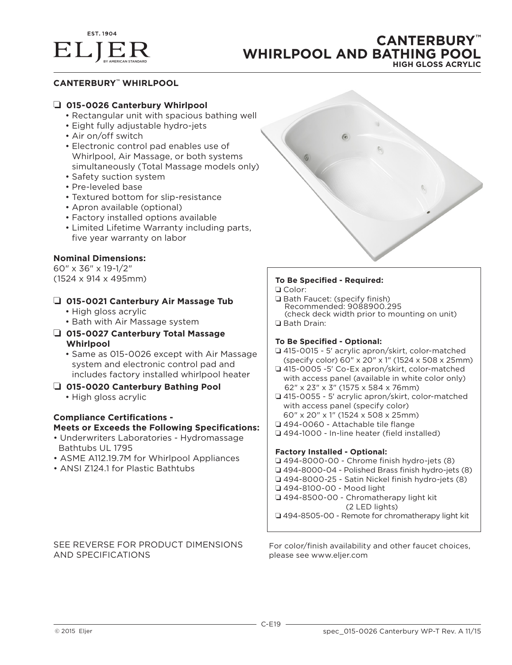

# **CANTERBURY™ WHIRLPOOL AND BATHING POOL HIGH GLOSS ACRYLIC**

## **CANTERBURY™ WHIRLPOOL**

## ❏ **015-0026 Canterbury Whirlpool**

- Rectangular unit with spacious bathing well
- Eight fully adjustable hydro-jets
- Air on/off switch
- Electronic control pad enables use of Whirlpool, Air Massage, or both systems simultaneously (Total Massage models only)
- Safety suction system
- Pre-leveled base
- Textured bottom for slip-resistance
- Apron available (optional)
- Factory installed options available
- Limited Lifetime Warranty including parts, five year warranty on labor

## **Nominal Dimensions:**

60" x 36" x 19-1/2" (1524 x 914 x 495mm)

## ❏ **015-0021 Canterbury Air Massage Tub**

- High gloss acrylic
- Bath with Air Massage system
- ❏ **015-0027 Canterbury Total Massage Whirlpool**
	- Same as 015-0026 except with Air Massage system and electronic control pad and includes factory installed whirlpool heater
- ❏ **015-0020 Canterbury Bathing Pool**
	- High gloss acrylic

# **Compliance Certifications -**

## **Meets or Exceeds the Following Specifications:**

- Underwriters Laboratories Hydromassage Bathtubs UL 1795
- ASME A112.19.7M for Whirlpool Appliances
- ANSI Z124.1 for Plastic Bathtubs

#### **To Be Specified - Required:** ❏ Color:

- 
- ❏ Bath Faucet: (specify finish) Recommended: 9088900.295 (check deck width prior to mounting on unit) ❏ Bath Drain:

### **To Be Specified - Optional:**

- ❏ 415-0015 5' acrylic apron/skirt, color-matched (specify color) 60" x 20" x 1" (1524 x 508 x 25mm)
- ❏ 415-0005 -5' Co-Ex apron/skirt, color-matched with access panel (available in white color only) 62" x 23" x 3" (1575 x 584 x 76mm)
- ❏ 415-0055 5' acrylic apron/skirt, color-matched with access panel (specify color) 60" x 20" x 1" (1524 x 508 x 25mm)
- ❏ 494-0060 Attachable tile flange
- ❏ 494-1000 In-line heater (field installed)

### **Factory Installed - Optional:**

❏ 494-8000-00 - Chrome finish hydro-jets (8) ❏ 494-8000-04 - Polished Brass finish hydro-jets (8) ❏ 494-8000-25 - Satin Nickel finish hydro-jets (8) ❏ 494-8100-00 - Mood light ❏ 494-8500-00 - Chromatherapy light kit (2 LED lights) ❏ 494-8505-00 - Remote for chromatherapy light kit

## SEE REVERSE FOR PRODUCT DIMENSIONS AND SPECIFICATIONS

For color/finish availability and other faucet choices, please see www.eljer.com